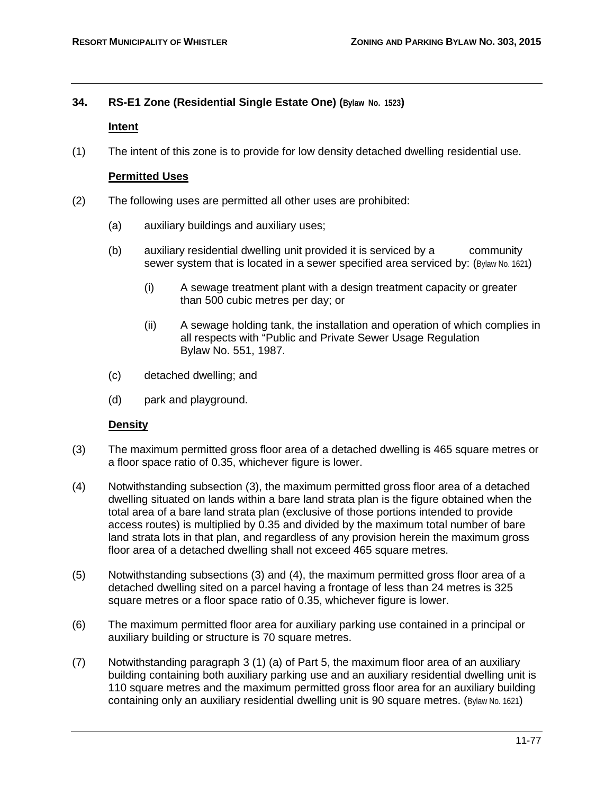# **34. RS-E1 Zone (Residential Single Estate One) (Bylaw No. 1523)**

## **Intent**

(1) The intent of this zone is to provide for low density detached dwelling residential use.

## **Permitted Uses**

- (2) The following uses are permitted all other uses are prohibited:
	- (a) auxiliary buildings and auxiliary uses;
	- (b) auxiliary residential dwelling unit provided it is serviced by a community sewer system that is located in a sewer specified area serviced by: (Bylaw No. 1621)
		- (i) A sewage treatment plant with a design treatment capacity or greater than 500 cubic metres per day; or
		- (ii) A sewage holding tank, the installation and operation of which complies in all respects with "Public and Private Sewer Usage Regulation Bylaw No. 551, 1987.
	- (c) detached dwelling; and
	- (d) park and playground.

# **Density**

- (3) The maximum permitted gross floor area of a detached dwelling is 465 square metres or a floor space ratio of 0.35, whichever figure is lower.
- (4) Notwithstanding subsection (3), the maximum permitted gross floor area of a detached dwelling situated on lands within a bare land strata plan is the figure obtained when the total area of a bare land strata plan (exclusive of those portions intended to provide access routes) is multiplied by 0.35 and divided by the maximum total number of bare land strata lots in that plan, and regardless of any provision herein the maximum gross floor area of a detached dwelling shall not exceed 465 square metres.
- (5) Notwithstanding subsections (3) and (4), the maximum permitted gross floor area of a detached dwelling sited on a parcel having a frontage of less than 24 metres is 325 square metres or a floor space ratio of 0.35, whichever figure is lower.
- (6) The maximum permitted floor area for auxiliary parking use contained in a principal or auxiliary building or structure is 70 square metres.
- (7) Notwithstanding paragraph 3 (1) (a) of Part 5, the maximum floor area of an auxiliary building containing both auxiliary parking use and an auxiliary residential dwelling unit is 110 square metres and the maximum permitted gross floor area for an auxiliary building containing only an auxiliary residential dwelling unit is 90 square metres. (Bylaw No. 1621)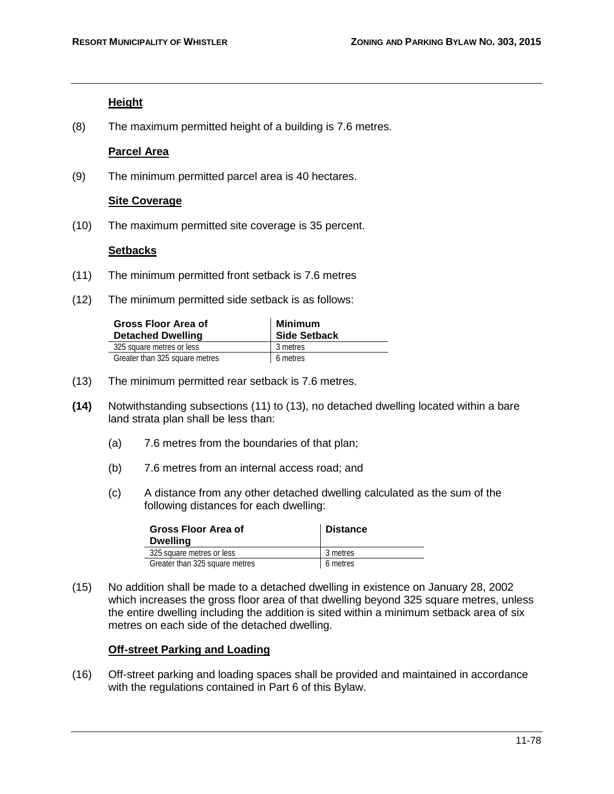## **Height**

(8) The maximum permitted height of a building is 7.6 metres.

## **Parcel Area**

(9) The minimum permitted parcel area is 40 hectares.

## **Site Coverage**

(10) The maximum permitted site coverage is 35 percent.

# **Setbacks**

- (11) The minimum permitted front setback is 7.6 metres
- (12) The minimum permitted side setback is as follows:

| Gross Floor Area of<br><b>Detached Dwelling</b> | <b>Minimum</b><br><b>Side Setback</b> |
|-------------------------------------------------|---------------------------------------|
| 325 square metres or less                       | 3 metres                              |
| Greater than 325 square metres                  | 6 metres                              |

- (13) The minimum permitted rear setback is 7.6 metres.
- **(14)** Notwithstanding subsections (11) to (13), no detached dwelling located within a bare land strata plan shall be less than:
	- (a) 7.6 metres from the boundaries of that plan;
	- (b) 7.6 metres from an internal access road; and
	- (c) A distance from any other detached dwelling calculated as the sum of the following distances for each dwelling:

| Gross Floor Area of<br><b>Dwelling</b> | <b>Distance</b> |
|----------------------------------------|-----------------|
| 325 square metres or less              | 3 metres        |
| Greater than 325 square metres         | 6 metres        |

(15) No addition shall be made to a detached dwelling in existence on January 28, 2002 which increases the gross floor area of that dwelling beyond 325 square metres, unless the entire dwelling including the addition is sited within a minimum setback area of six metres on each side of the detached dwelling.

# **Off-street Parking and Loading**

(16) Off-street parking and loading spaces shall be provided and maintained in accordance with the regulations contained in Part 6 of this Bylaw.